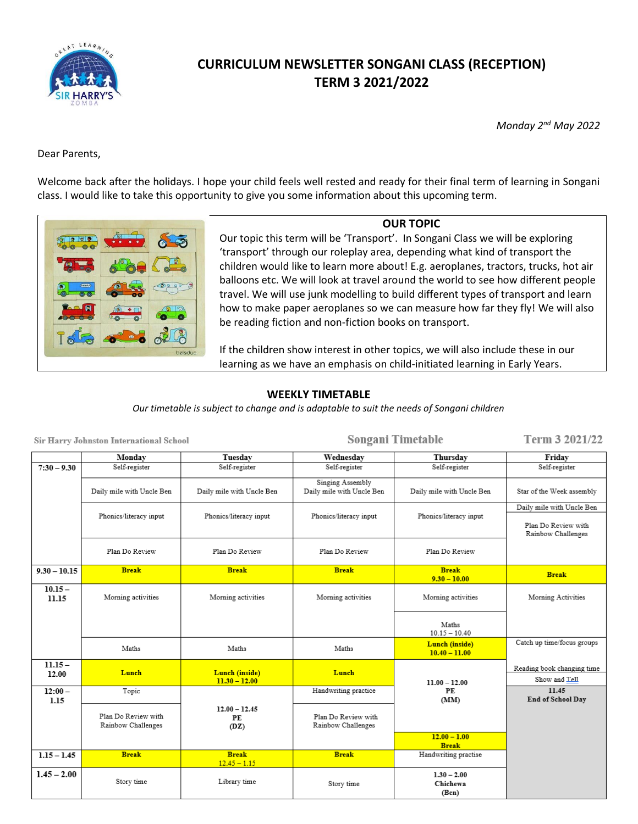

# **CURRICULUM NEWSLETTER SONGANI CLASS (RECEPTION) TERM 3 2021/2022**

*Monday 2nd May 2022*

Dear Parents,

Welcome back after the holidays. I hope your child feels well rested and ready for their final term of learning in Songani class. I would like to take this opportunity to give you some information about this upcoming term.



**OUR TOPIC** Our topic this term will be 'Transport'. In Songani Class we will be exploring 'transport' through our roleplay area, depending what kind of transport the children would like to learn more about! E.g. aeroplanes, tractors, trucks, hot air balloons etc. We will look at travel around the world to see how different people travel. We will use junk modelling to build different types of transport and learn how to make paper aeroplanes so we can measure how far they fly! We will also be reading fiction and non-fiction books on transport.

If the children show interest in other topics, we will also include these in our learning as we have an emphasis on child-initiated learning in Early Years.

#### **WEEKLY TIMETABLE**

*Our timetable is subject to change and is adaptable to suit the needs of Songani children*

| Sir Harry Johnston International School |                                           |                                   | Songani Timetable                             |                                    | Term 3 2021/22                              |
|-----------------------------------------|-------------------------------------------|-----------------------------------|-----------------------------------------------|------------------------------------|---------------------------------------------|
|                                         | Monday                                    | Tuesday                           | Wednesday                                     | Thursdav                           | Friday                                      |
| $7:30 - 9.30$                           | Self-register                             | Self-register                     | Self-register                                 | Self-register                      | Self-register                               |
|                                         | Daily mile with Uncle Ben                 | Daily mile with Uncle Ben         | Singing Assembly<br>Daily mile with Uncle Ben | Daily mile with Uncle Ben          | Star of the Week assembly                   |
|                                         |                                           |                                   |                                               |                                    | Daily mile with Uncle Ben                   |
|                                         | Phonics/literacy input                    | Phonics/literacy input            | Phonics/literacy input                        | Phonics/literacy input             | Plan Do Review with<br>Rainbow Challenges   |
|                                         | Plan Do Review                            | Plan Do Review                    | Plan Do Review                                | Plan Do Review                     |                                             |
| $9.30 - 10.15$                          | <b>Break</b>                              | <b>Break</b>                      | <b>Break</b>                                  | <b>Break</b><br>$9.30 - 10.00$     | <b>Break</b>                                |
| $10.15 -$<br>11.15                      | Morning activities                        | Morning activities                | Morning activities                            | Morning activities                 | Morning Activities                          |
|                                         |                                           |                                   |                                               | Maths<br>$10.15 - 10.40$           |                                             |
|                                         | Maths                                     | Maths                             | Maths                                         | Lunch (inside)<br>$10.40 - 11.00$  | Catch up time/focus groups                  |
| $11.15 -$<br>12.00                      | Lunch                                     | Lunch (inside)<br>$11.30 - 12.00$ | Lunch                                         | $11.00 - 12.00$                    | Reading book changing time<br>Show and Tell |
| $12:00 -$<br>1.15                       | Topic                                     |                                   | Handwriting practice                          | PE<br>(MM)                         | 11.45<br>End of School Day                  |
|                                         | Plan Do Review with<br>Rainbow Challenges | $12.00 - 12.45$<br>PE<br>(DZ)     | Plan Do Review with<br>Rainbow Challenges     |                                    |                                             |
|                                         |                                           |                                   |                                               | $12.00 - 1.00$<br><b>Break</b>     |                                             |
| $1.15 - 1.45$                           | <b>Break</b>                              | <b>Break</b><br>$12.45 - 1.15$    | <b>Break</b>                                  | Handwriting practise               |                                             |
| $1.45 - 2.00$                           | Story time                                | Library time                      | Story time                                    | $1.30 - 2.00$<br>Chichewa<br>(Ben) |                                             |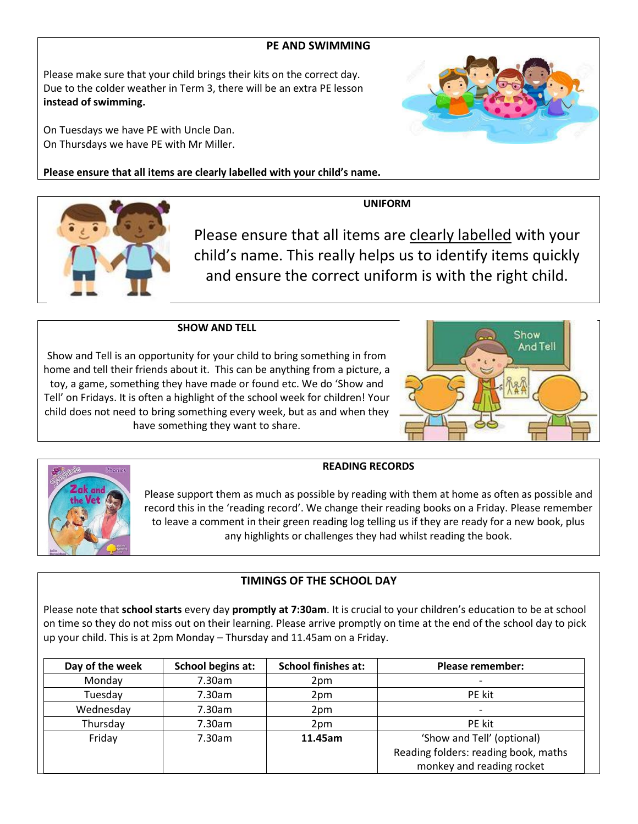#### **PE AND SWIMMING**

Please make sure that your child brings their kits on the correct day. Due to the colder weather in Term 3, there will be an extra PE lesson **instead of swimming.**

On Tuesdays we have PE with Uncle Dan. On Thursdays we have PE with Mr Miller.

**Please ensure that all items are clearly labelled with your child's name.**

**UNIFORM**

Please ensure that all items are clearly labelled with your child's name. This really helps us to identify items quickly and ensure the correct uniform is with the right child.

**SHOW AND TELL**

Show and Tell is an opportunity for your child to bring something in from home and tell their friends about it. This can be anything from a picture, a toy, a game, something they have made or found etc. We do 'Show and Tell' on Fridays. It is often a highlight of the school week for children! Your child does not need to bring something every week, but as and when they have something they want to share.

#### **READING RECORDS**

Please support them as much as possible by reading with them at home as often as possible and record this in the 'reading record'. We change their reading books on a Friday. Please remember to leave a comment in their green reading log telling us if they are ready for a new book, plus any highlights or challenges they had whilst reading the book.

## **TIMINGS OF THE SCHOOL DAY**

Please note that **school starts** every day **promptly at 7:30am**. It is crucial to your children's education to be at school on time so they do not miss out on their learning. Please arrive promptly on time at the end of the school day to pick up your child. This is at 2pm Monday – Thursday and 11.45am on a Friday.

| Day of the week | School begins at: | <b>School finishes at:</b> | <b>Please remember:</b>              |
|-----------------|-------------------|----------------------------|--------------------------------------|
| Monday          | 7.30am            | 2 <sub>pm</sub>            |                                      |
| Tuesday         | 7.30am            | 2pm                        | PE kit                               |
| Wednesday       | 7.30am            | 2 <sub>pm</sub>            |                                      |
| Thursday        | 7.30am            | 2 <sub>pm</sub>            | PE kit                               |
| Friday          | 7.30am            | 11.45am                    | 'Show and Tell' (optional)           |
|                 |                   |                            | Reading folders: reading book, maths |
|                 |                   |                            | monkey and reading rocket            |